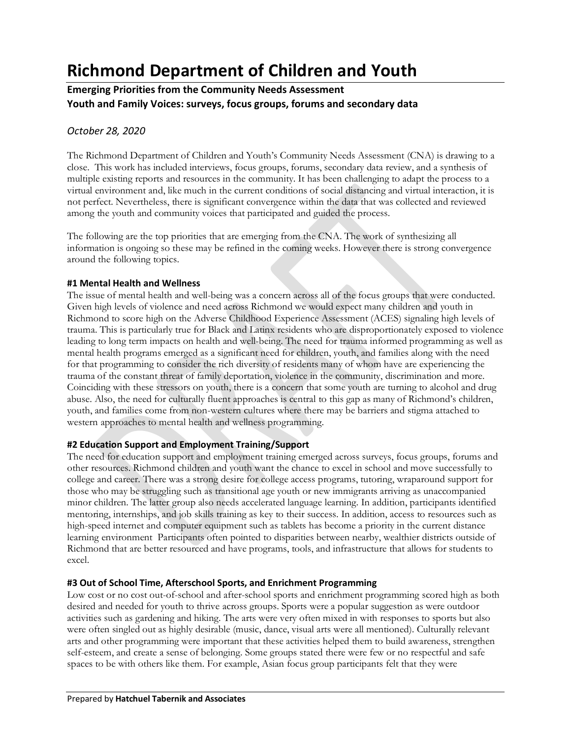# **Richmond Department of Children and Youth**

## **Emerging Priorities from the Community Needs Assessment Youth and Family Voices: surveys, focus groups, forums and secondary data**

## *October 28, 2020*

The Richmond Department of Children and Youth's Community Needs Assessment (CNA) is drawing to a close. This work has included interviews, focus groups, forums, secondary data review, and a synthesis of multiple existing reports and resources in the community. It has been challenging to adapt the process to a virtual environment and, like much in the current conditions of social distancing and virtual interaction, it is not perfect. Nevertheless, there is significant convergence within the data that was collected and reviewed among the youth and community voices that participated and guided the process.

The following are the top priorities that are emerging from the CNA. The work of synthesizing all information is ongoing so these may be refined in the coming weeks. However there is strong convergence around the following topics.

### **#1 Mental Health and Wellness**

The issue of mental health and well-being was a concern across all of the focus groups that were conducted. Given high levels of violence and need across Richmond we would expect many children and youth in Richmond to score high on the Adverse Childhood Experience Assessment (ACES) signaling high levels of trauma. This is particularly true for Black and Latinx residents who are disproportionately exposed to violence leading to long term impacts on health and well-being. The need for trauma informed programming as well as mental health programs emerged as a significant need for children, youth, and families along with the need for that programming to consider the rich diversity of residents many of whom have are experiencing the trauma of the constant threat of family deportation, violence in the community, discrimination and more. Coinciding with these stressors on youth, there is a concern that some youth are turning to alcohol and drug abuse. Also, the need for culturally fluent approaches is central to this gap as many of Richmond's children, youth, and families come from non-western cultures where there may be barriers and stigma attached to western approaches to mental health and wellness programming.

## **#2 Education Support and Employment Training/Support**

The need for education support and employment training emerged across surveys, focus groups, forums and other resources. Richmond children and youth want the chance to excel in school and move successfully to college and career. There was a strong desire for college access programs, tutoring, wraparound support for those who may be struggling such as transitional age youth or new immigrants arriving as unaccompanied minor children. The latter group also needs accelerated language learning. In addition, participants identified mentoring, internships, and job skills training as key to their success. In addition, access to resources such as high-speed internet and computer equipment such as tablets has become a priority in the current distance learning environment Participants often pointed to disparities between nearby, wealthier districts outside of Richmond that are better resourced and have programs, tools, and infrastructure that allows for students to excel.

## **#3 Out of School Time, Afterschool Sports, and Enrichment Programming**

Low cost or no cost out-of-school and after-school sports and enrichment programming scored high as both desired and needed for youth to thrive across groups. Sports were a popular suggestion as were outdoor activities such as gardening and hiking. The arts were very often mixed in with responses to sports but also were often singled out as highly desirable (music, dance, visual arts were all mentioned). Culturally relevant arts and other programming were important that these activities helped them to build awareness, strengthen self-esteem, and create a sense of belonging. Some groups stated there were few or no respectful and safe spaces to be with others like them. For example, Asian focus group participants felt that they were